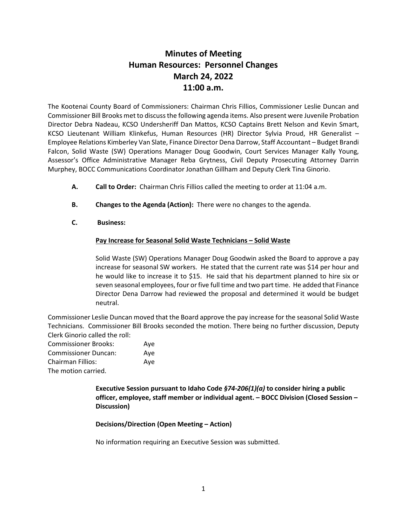# **Minutes of Meeting Human Resources: Personnel Changes March 24, 2022 11:00 a.m.**

The Kootenai County Board of Commissioners: Chairman Chris Fillios, Commissioner Leslie Duncan and Commissioner Bill Brooks met to discuss the following agenda items. Also present were Juvenile Probation Director Debra Nadeau, KCSO Undersheriff Dan Mattos, KCSO Captains Brett Nelson and Kevin Smart, KCSO Lieutenant William Klinkefus, Human Resources (HR) Director Sylvia Proud, HR Generalist – Employee Relations Kimberley Van Slate, Finance Director Dena Darrow, Staff Accountant – Budget Brandi Falcon, Solid Waste (SW) Operations Manager Doug Goodwin, Court Services Manager Kally Young, Assessor's Office Administrative Manager Reba Grytness, Civil Deputy Prosecuting Attorney Darrin Murphey, BOCC Communications Coordinator Jonathan Gillham and Deputy Clerk Tina Ginorio.

- **A. Call to Order:** Chairman Chris Fillios called the meeting to order at 11:04 a.m.
- **B. Changes to the Agenda (Action):** There were no changes to the agenda.
- **C. Business:**

### **Pay Increase for Seasonal Solid Waste Technicians – Solid Waste**

Solid Waste (SW) Operations Manager Doug Goodwin asked the Board to approve a pay increase for seasonal SW workers. He stated that the current rate was \$14 per hour and he would like to increase it to \$15. He said that his department planned to hire six or seven seasonal employees, four or five full time and two part time. He added that Finance Director Dena Darrow had reviewed the proposal and determined it would be budget neutral.

Commissioner Leslie Duncan moved that the Board approve the pay increase for the seasonal Solid Waste Technicians. Commissioner Bill Brooks seconded the motion. There being no further discussion, Deputy Clerk Ginorio called the roll:

| <b>Commissioner Brooks:</b> | Aye |
|-----------------------------|-----|
| <b>Commissioner Duncan:</b> | Aye |
| Chairman Fillios:           | Ave |
| The motion carried.         |     |

**Executive Session pursuant to Idaho Code** *§74-206(1)(a)* **to consider hiring a public officer, employee, staff member or individual agent. – BOCC Division (Closed Session – Discussion)**

**Decisions/Direction (Open Meeting – Action)**

No information requiring an Executive Session was submitted.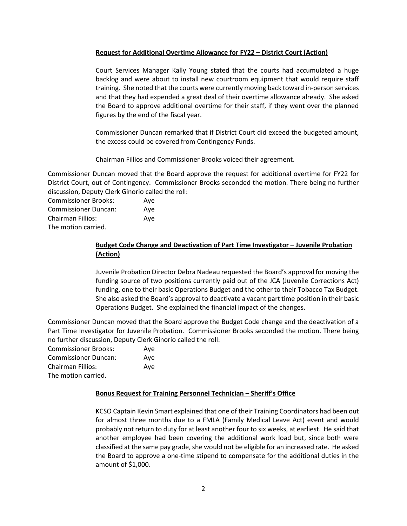### **Request for Additional Overtime Allowance for FY22 – District Court (Action)**

Court Services Manager Kally Young stated that the courts had accumulated a huge backlog and were about to install new courtroom equipment that would require staff training. She noted that the courts were currently moving back toward in-person services and that they had expended a great deal of their overtime allowance already. She asked the Board to approve additional overtime for their staff, if they went over the planned figures by the end of the fiscal year.

Commissioner Duncan remarked that if District Court did exceed the budgeted amount, the excess could be covered from Contingency Funds.

Chairman Fillios and Commissioner Brooks voiced their agreement.

Commissioner Duncan moved that the Board approve the request for additional overtime for FY22 for District Court, out of Contingency. Commissioner Brooks seconded the motion. There being no further discussion, Deputy Clerk Ginorio called the roll:

Commissioner Brooks: Aye Commissioner Duncan: Aye Chairman Fillios: Aye The motion carried.

# **Budget Code Change and Deactivation of Part Time Investigator – Juvenile Probation (Action)**

Juvenile Probation Director Debra Nadeau requested the Board's approval for moving the funding source of two positions currently paid out of the JCA (Juvenile Corrections Act) funding, one to their basic Operations Budget and the other to their Tobacco Tax Budget. She also asked the Board's approval to deactivate a vacant part time position in their basic Operations Budget. She explained the financial impact of the changes.

Commissioner Duncan moved that the Board approve the Budget Code change and the deactivation of a Part Time Investigator for Juvenile Probation. Commissioner Brooks seconded the motion. There being no further discussion, Deputy Clerk Ginorio called the roll:

| <b>Commissioner Brooks:</b> | Aye |
|-----------------------------|-----|
| <b>Commissioner Duncan:</b> | Ave |
| <b>Chairman Fillios:</b>    | Aye |
| The motion carried.         |     |

### **Bonus Request for Training Personnel Technician – Sheriff's Office**

KCSO Captain Kevin Smart explained that one of their Training Coordinators had been out for almost three months due to a FMLA (Family Medical Leave Act) event and would probably not return to duty for at least another four to six weeks, at earliest. He said that another employee had been covering the additional work load but, since both were classified at the same pay grade, she would not be eligible for an increased rate. He asked the Board to approve a one-time stipend to compensate for the additional duties in the amount of \$1,000.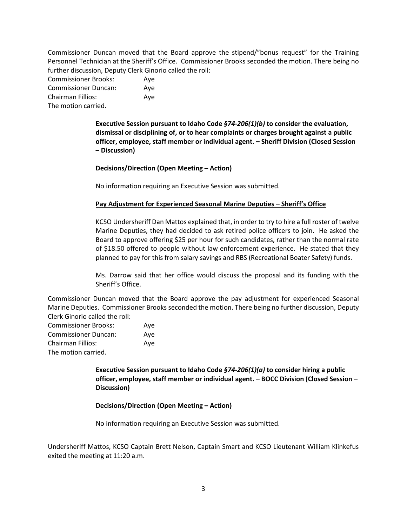Commissioner Duncan moved that the Board approve the stipend/"bonus request" for the Training Personnel Technician at the Sheriff's Office. Commissioner Brooks seconded the motion. There being no further discussion, Deputy Clerk Ginorio called the roll:

| <b>Commissioner Brooks:</b> | Ave |
|-----------------------------|-----|
| <b>Commissioner Duncan:</b> | Ave |
| <b>Chairman Fillios:</b>    | Ave |
| The motion carried.         |     |

**Executive Session pursuant to Idaho Code** *§74-206(1)(b)* **to consider the evaluation, dismissal or disciplining of, or to hear complaints or charges brought against a public officer, employee, staff member or individual agent. – Sheriff Division (Closed Session – Discussion)**

**Decisions/Direction (Open Meeting – Action)**

No information requiring an Executive Session was submitted.

#### **Pay Adjustment for Experienced Seasonal Marine Deputies – Sheriff's Office**

KCSO Undersheriff Dan Mattos explained that, in order to try to hire a full roster of twelve Marine Deputies, they had decided to ask retired police officers to join. He asked the Board to approve offering \$25 per hour for such candidates, rather than the normal rate of \$18.50 offered to people without law enforcement experience. He stated that they planned to pay for this from salary savings and RBS (Recreational Boater Safety) funds.

Ms. Darrow said that her office would discuss the proposal and its funding with the Sheriff's Office.

Commissioner Duncan moved that the Board approve the pay adjustment for experienced Seasonal Marine Deputies. Commissioner Brooks seconded the motion. There being no further discussion, Deputy Clerk Ginorio called the roll:

| <b>Commissioner Brooks:</b> | Ave |
|-----------------------------|-----|
| <b>Commissioner Duncan:</b> | Ave |
| Chairman Fillios:           | Ave |
| The motion carried.         |     |

**Executive Session pursuant to Idaho Code** *§74-206(1)(a)* **to consider hiring a public officer, employee, staff member or individual agent. – BOCC Division (Closed Session – Discussion)**

#### **Decisions/Direction (Open Meeting – Action)**

No information requiring an Executive Session was submitted.

Undersheriff Mattos, KCSO Captain Brett Nelson, Captain Smart and KCSO Lieutenant William Klinkefus exited the meeting at 11:20 a.m.